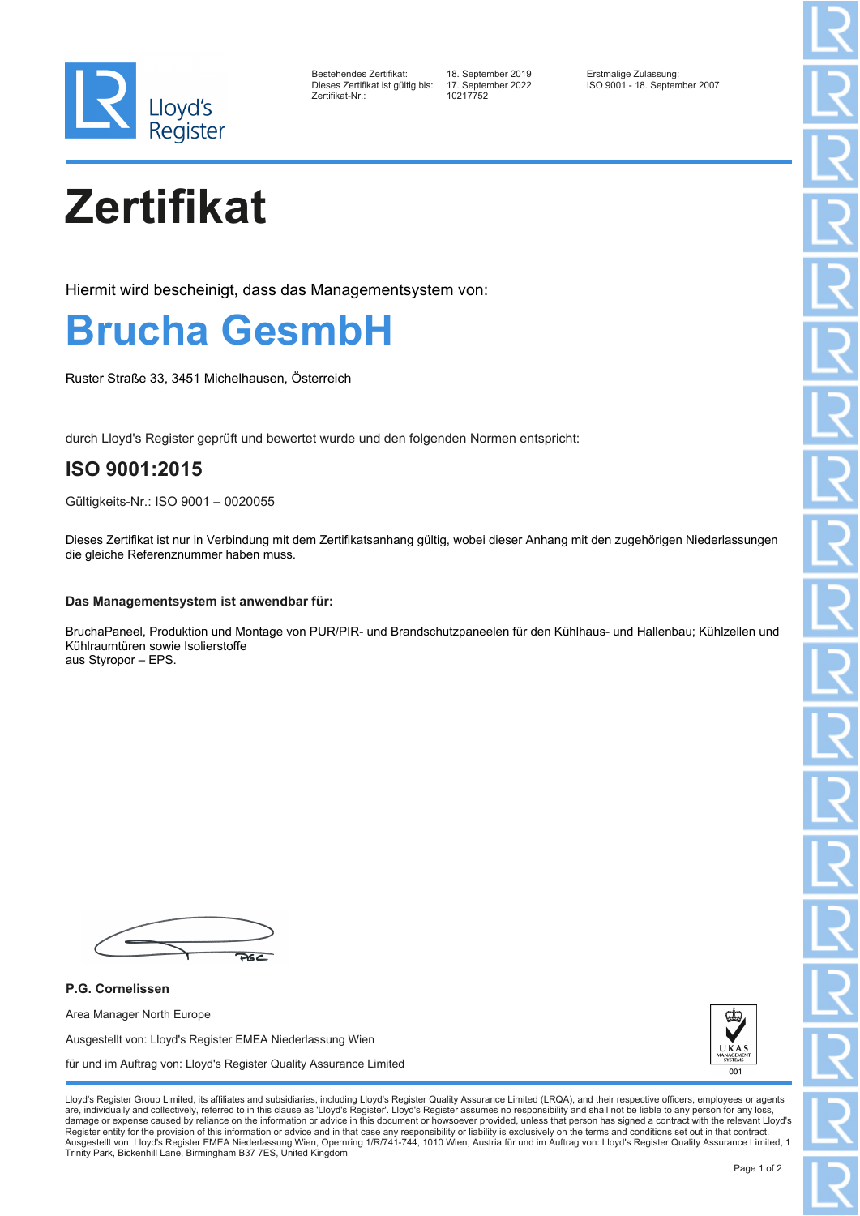

| Bestehendes Zertifikat:          |  |
|----------------------------------|--|
| Dieses Zertifikat ist gültig bis |  |
| Zertifikat-Nr.:                  |  |

10217752

Bestehendes Zertifikat: 18. September 2019 Erstmalige Zulassung: Dieses Zertifikat ist gültig bis: 17. September 2022 ISO 9001 - 18. September 2007

## **Zertifikat**

Hiermit wird bescheinigt, dass das Managementsystem von:



Ruster Straße 33, 3451 Michelhausen, Österreich

durch Lloyd's Register geprüft und bewertet wurde und den folgenden Normen entspricht:

## **ISO 9001:2015**

Gültigkeits-Nr.: ISO 9001 – 0020055

Dieses Zertifikat ist nur in Verbindung mit dem Zertifikatsanhang gültig, wobei dieser Anhang mit den zugehörigen Niederlassungen die gleiche Referenznummer haben muss.

## **Das Managementsystem ist anwendbar für:**

BruchaPaneel, Produktion und Montage von PUR/PIR- und Brandschutzpaneelen für den Kühlhaus- und Hallenbau; Kühlzellen und Kühlraumtüren sowie Isolierstoffe aus Styropor – EPS.

**P.G. Cornelissen** Area Manager North Europe Ausgestellt von: Lloyd's Register EMEA Niederlassung Wien für und im Auftrag von: Lloyd's Register Quality Assurance Limited



Lloyd's Register Group Limited, its affiliates and subsidiaries, including Lloyd's Register Quality Assurance Limited (LRQA), and their respective officers, employees or agents are, individually and collectively, referred to in this clause as 'Lloyd's Register'. Lloyd's Register assumes no responsibility and shall not be liable to any person for any los damage or expense caused by reliance on the information or advice in this document or howsoever provided, unless that person has signed a contract with the relevant Lloyd's<br>Register entity for the provision of this informa Ausgestellt von: Lloyd's Register EMEA Niederlassung Wien, Opernring 1/R/741-744, 1010 Wien, Austria für und im Auftrag von: Lloyd's Register Quality Assurance Limited, 1 Trinity Park, Bickenhill Lane, Birmingham B37 7ES, United Kingdom